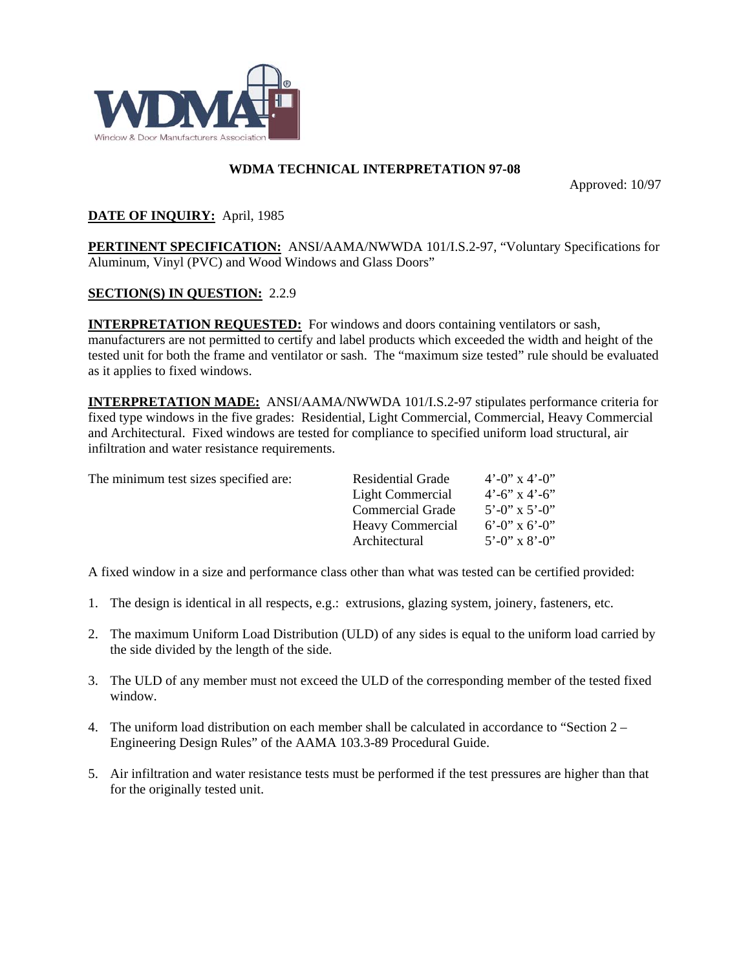

## **WDMA TECHNICAL INTERPRETATION 97-08**

Approved: 10/97

## **DATE OF INQUIRY:** April, 1985

**PERTINENT SPECIFICATION:** ANSI/AAMA/NWWDA 101/I.S.2-97, "Voluntary Specifications for Aluminum, Vinyl (PVC) and Wood Windows and Glass Doors"

## **SECTION(S) IN QUESTION:** 2.2.9

**INTERPRETATION REQUESTED:** For windows and doors containing ventilators or sash, manufacturers are not permitted to certify and label products which exceeded the width and height of the tested unit for both the frame and ventilator or sash. The "maximum size tested" rule should be evaluated as it applies to fixed windows.

**INTERPRETATION MADE:** ANSI/AAMA/NWWDA 101/I.S.2-97 stipulates performance criteria for fixed type windows in the five grades: Residential, Light Commercial, Commercial, Heavy Commercial and Architectural. Fixed windows are tested for compliance to specified uniform load structural, air infiltration and water resistance requirements.

The minimum test sizes specified are:

| The minimum test sizes specified are: | Residential Grade       | $4^{\prime}$ - $()$ <sup>2</sup> x $4^{\prime}$ - $()$ <sup>2</sup> |
|---------------------------------------|-------------------------|---------------------------------------------------------------------|
|                                       | Light Commercial        | $4^{\circ}$ -6" x $4^{\circ}$ -6"                                   |
|                                       | Commercial Grade        | $5'$ -0" x 5'-0"                                                    |
|                                       | <b>Heavy Commercial</b> | $6^{\circ}$ -0" x 6'-0"                                             |
|                                       | Architectural           | $5'$ -0" x 8'-0"                                                    |

A fixed window in a size and performance class other than what was tested can be certified provided:

- 1. The design is identical in all respects, e.g.: extrusions, glazing system, joinery, fasteners, etc.
- 2. The maximum Uniform Load Distribution (ULD) of any sides is equal to the uniform load carried by the side divided by the length of the side.
- 3. The ULD of any member must not exceed the ULD of the corresponding member of the tested fixed window.
- 4. The uniform load distribution on each member shall be calculated in accordance to "Section 2 Engineering Design Rules" of the AAMA 103.3-89 Procedural Guide.
- 5. Air infiltration and water resistance tests must be performed if the test pressures are higher than that for the originally tested unit.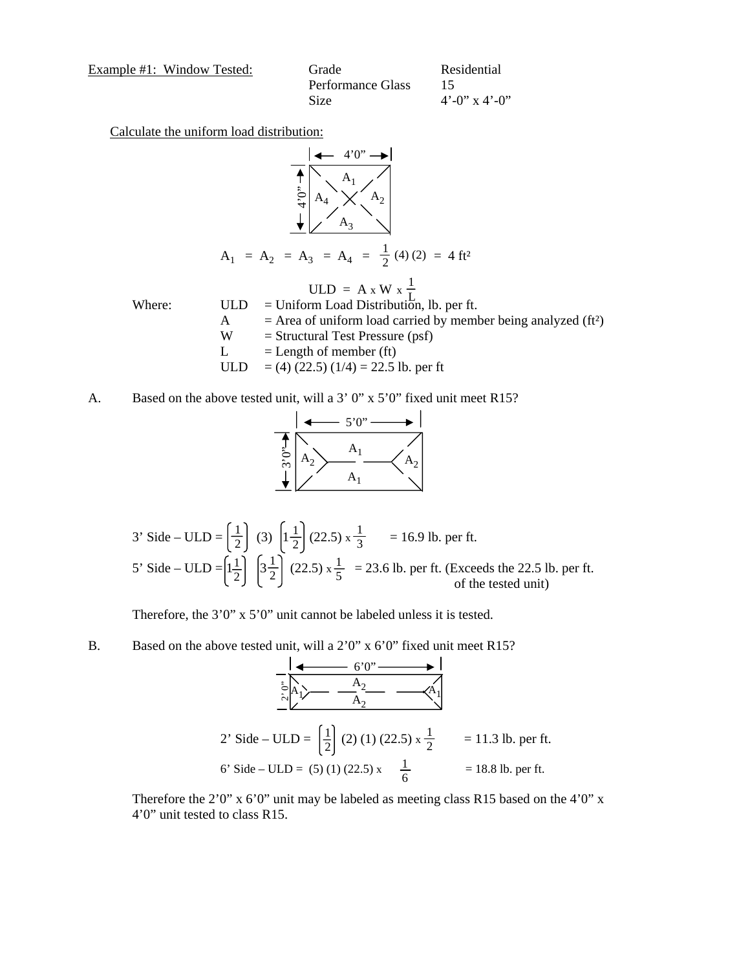Example #1: Window Tested:

| e #1: Window Tested: | Grade             | Residential             |
|----------------------|-------------------|-------------------------|
|                      | Performance Glass |                         |
|                      | Size              | $4^{\circ}$ -0" x 4'-0" |

Calculate the uniform load distribution:



A. Based on the above tested unit, will a 3' 0" x 5'0" fixed unit meet R15?



3' Side – ULD = 
$$
\left(\frac{1}{2}\right)
$$
 (3)  $\left(1\frac{1}{2}\right)$  (22.5)  $x\frac{1}{3}$  = 16.9 lb. per ft.  
5' Side – ULD =  $\left(1\frac{1}{2}\right)$   $\left(3\frac{1}{2}\right)$  (22.5)  $x\frac{1}{5}$  = 23.6 lb. per ft. (Exceeds the 22.5 lb. per ft.  
of the tested unit)

Therefore, the 3'0" x 5'0" unit cannot be labeled unless it is tested.

B. Based on the above tested unit, will a 2'0" x 6'0" fixed unit meet R15?

$$
6'0'' \longrightarrow \frac{1}{6}
$$
  
\n
$$
2' \text{ Side} - \text{ULD} = \left(\frac{1}{2}\right) (2) (1) (22.5) \times \frac{1}{2} = 11.3 \text{ lb. per ft.}
$$
  
\n6' Side - \text{ULD} = (5) (1) (22.5) x  $\frac{1}{6}$  = 18.8 lb. per ft.

Therefore the 2'0" x 6'0" unit may be labeled as meeting class R15 based on the 4'0" x 4'0" unit tested to class R15.